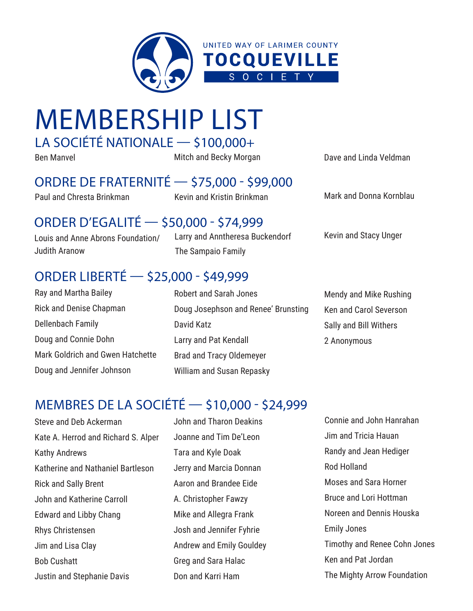

# MEMBERSHIP LIST

# LA SOCIÉTÉ NATIONALE — \$100,000+

Ben Manyel **Mitch and Becky Morgan** Dave and Linda Veldman

# ORDRE DE FRATERNITÉ — \$75,000 - \$99,000

Paul and Chresta Brinkman Kevin and Kristin Brinkman

Mark and Donna Kornblau

# ORDER D'EGALITÉ — \$50,000 - \$74,999

Louis and Anne Abrons Foundation/ Judith Aranow

#### Larry and Anntheresa Buckendorf The Sampaio Family

Kevin and Stacy Unger

## ORDER LIBERTÉ — \$25,000 - \$49,999

Ray and Martha Bailey Rick and Denise Chapman Dellenbach Family Doug and Connie Dohn Mark Goldrich and Gwen Hatchette Doug and Jennifer Johnson

### Robert and Sarah Jones Doug Josephson and Renee' Brunsting David Katz Larry and Pat Kendall Brad and Tracy Oldemeyer William and Susan Repasky

Mendy and Mike Rushing Ken and Carol Severson Sally and Bill Withers 2 Anonymous

# MEMBRES DE LA SOCIÉTÉ — \$10,000 - \$24,999

Steve and Deb Ackerman Kate A. Herrod and Richard S. Alper Kathy Andrews Katherine and Nathaniel Bartleson Rick and Sally Brent John and Katherine Carroll Edward and Libby Chang Rhys Christensen Jim and Lisa Clay Bob Cushatt Justin and Stephanie Davis

John and Tharon Deakins Joanne and Tim De'Leon Tara and Kyle Doak Jerry and Marcia Donnan Aaron and Brandee Eide A. Christopher Fawzy Mike and Allegra Frank Josh and Jennifer Fyhrie Andrew and Emily Gouldey Greg and Sara Halac Don and Karri Ham

Connie and John Hanrahan Jim and Tricia Hauan Randy and Jean Hediger Rod Holland Moses and Sara Horner Bruce and Lori Hottman Noreen and Dennis Houska Emily Jones Timothy and Renee Cohn Jones Ken and Pat Jordan The Mighty Arrow Foundation